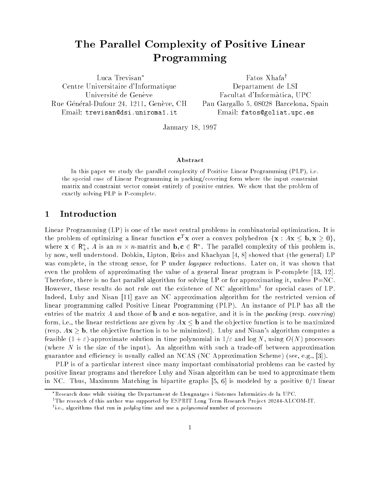# The Parallel Complexity of Positive Linear Programming

Luca Trevisan Centre Universitaire d'Informatique Université de Genève Rue Général-Dufour 24, 1211, Genève, CH Email: trevisan@dsi.uniroma1.it

Fatos Xhafa<sup>†</sup> Departament de LSI Facultat d'Informatica, UPC Pau Gargallo 5, 08028 Barcelona, Spain Email: fatos@goliat.upc.es

January 18, 1997

#### Abstract

In this paper we study the parallel complexity of Positive Linear Programming (PLP), i.e. the special case of Linear Programming in packing/covering form where the input constraint matrix and constraint vector consist entirely of positive entries. We show that the problem of exactly solving PLP is P-complete.

#### <sup>1</sup> Introduction

Linear Programming (LP) is one of the most central problems in combinatorial optimization. It is the problem of optimizing a linear function  $c\,$  x over a convex polyhedron  $\{x: Ax \sim D, x \geq 0\}$ , where  $\mathbf{x} \in \mathbb{N}_+$ , A is an  $m \times n$ -matrix and  $\mathbf{b}, \mathbf{c} \in \mathbb{N}$ . The parallel complexity of this problem is, by now, well understood. Dobkin, Lipton, Reiss and Khachyan [4, 8] showed that (the general) LP was complete, in the strong sense, for P under *logspace* reductions. Later on, it was shown that even the problem of approximating the value of a general linear program is P-complete [13, 12]. Therefore, there is no fast parallel algorithm for solving LP or for approximating it, unless  $P=NC$ . However, these results do not rule out the existence of NC algorithms<sup>1</sup> for special cases of LP. Indeed, Luby and Nisan [11] gave an NC approximation algorithm for the restricted version of linear programming called Positive Linear Programming (PLP). An instance of PLP has all the entries of the matrix A and those of **b** and **c** non-negative, and it is in the packing (resp. covering) form, i.e., the linear restrictions are given by  $A\mathbf{x} \leq \mathbf{b}$  and the objective function is to be maximized (resp.  $A\mathbf{x} \geq \mathbf{b}$ , the objective function is to be minimized). Luby and Nisan's algorithm computes a feasible  $(1 + \varepsilon)$ -approximate solution in time polynomial in  $1/\varepsilon$  and log N, using  $O(N)$  processors (where  $N$  is the size of the input). An algorithm with such a trade-off between approximation guarantee and efficiency is usually called an NCAS (NC Approximation Scheme) (see, e.g., [3]).

PLP is of a particular interest since many important combinatorial problems can be casted by positive linear programs and therefore Luby and Nisan algorithm can be used to approximate them in NC. Thus, Maximum Matching in bipartite graphs  $[5, 6]$  is modeled by a positive  $0/1$  linear

Research done while visiting the Departament de Llenguatges i Sistemes Informatics de la UPC.

The research of this author was supported by ESPRIT Long Term Research Project 20244-ALCOM-IT.

the, algorithms that run in *polylog* time and use a *polynomial* number of processors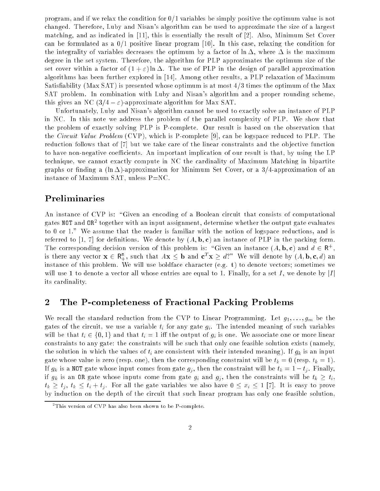program, and if we relax the condition for  $0/1$  variables be simply positive the optimum value is not changed. Therefore, Luby and Nisan's algorithm can be used to approximate the size of a largest matching, and as indicated in [11], this is essentially the result of [2]. Also, Minimum Set Cover can be formulated as a  $0/1$  positive linear program [10]. In this case, relaxing the condition for the integrality of variables decreases the optimum by a factor of  $\ln \Delta$ , where  $\Delta$  is the maximum degree in the set system. Therefore, the algorithm for PLP approximates the optimum size of the set cover within a factor of  $(1 + \varepsilon) \ln \Delta$ . The use of PLP in the design of parallel approximation algorithms has been further explored in [14]. Among other results, a PLP relaxation of Maximum Satisfiability (Max SAT) is presented whose optimum is at most  $4/3$  times the optimum of the Max SAT problem. In combination with Luby and Nisan's algorithm and a proper rounding scheme, this gives an NC  $(3/4 - \varepsilon)$ -approximate algorithm for Max SAT.

Unfortunately, Luby and Nisan's algorithm cannot be used to exactly solve an instance of PLP in NC. In this note we address the problem of the parallel complexity of PLP. We show that the problem of exactly solving PLP is P-complete. Our result is based on the observation that the *Circuit Value Problem* (CVP), which is P-complete [9], can be logspace reduced to PLP. The reduction follows that of [7] but we take care of the linear constraints and the objective function to have non-negative coefficients. An important implication of our result is that, by using the LP technique, we cannot exactly compute in NC the cardinality of Maximum Matching in bipartite graphs or finding a ( $\ln \Delta$ )-approximation for Minimum Set Cover, or a 3/4-approximation of an instance of Maximum SAT, unless P=NC.

### Preliminaries

An instance of CVP is: "Given an encoding of a Boolean circuit that consists of computational gates NOT and OR2 together with an input assignment, determine whether the output gate evaluates to 0 or 1." We assume that the reader is familiar with the notion of logspace reductions, and is referred to [1, 7] for definitions. We denote by  $(A, \mathbf{b}, \mathbf{c})$  an instance of PLP in the packing form. The corresponding decision version of this problem is: Given an instance  $(A, D, C)$  and  $a \in \mathbb{R}^+$ , is there any vector  $\mathbf{x} \in \mathsf{K}_+^*$ , such that  $A\mathbf{x} \leq \mathbf{b}$  and  $\mathbf{c}^- \mathbf{x} \geq a$ : We will denote by  $(A, \mathbf{b}, \mathbf{c}, a)$  an instance of this problem. We will use boldface character (e.g.  $t$ ) to denote vectors; sometimes we will use 1 to denote a vector all whose entries are equal to 1. Finally, for a set I, we denote by  $|I|$ its cardinality.

#### <sup>2</sup> The P-completeness of Fractional Packing Problems

We recall the standard reduction from the CVP to Linear Programming. Let  $g_1, \ldots, g_m$  be the gates of the circuit, we use a variable  $t_i$  for any gate  $g_i$ . The intended meaning of such variables will be that  $t_i \in \{0, 1\}$  and that  $t_i = 1$  iff the output of  $g_i$  is one. We associate one or more linear constraints to any gate: the constraints will be such that only one feasible solution exists (namely, the solution in which the values of  $t_i$  are consistent with their intended meaning). If  $g_k$  is an input gate whose value is zero (resp. one), then the corresponding constraint will be  $t_k = 0$  (resp.  $t_k = 1$ ). If  $g_k$  is a NOT gate whose input comes from gate  $g_j$ , then the constraint will be  $t_k = 1 - t_j$ . Finally, if  $g_k$  is an OR gate whose inputs come from gate  $g_i$  and  $g_j$ , then the constraints will be  $t_k \geq t_i$ ,  $t_k \ge t_j, t_k \le t_i + t_j$ . For all the gate variables we also have  $0 \le x_i \le 1$  [7]. It is easy to prove by induction on the depth of the circuit that such linear program has only one feasible solution,

 $\lceil$  I his version of  $\cup$  VP has also been shown to be P-complete.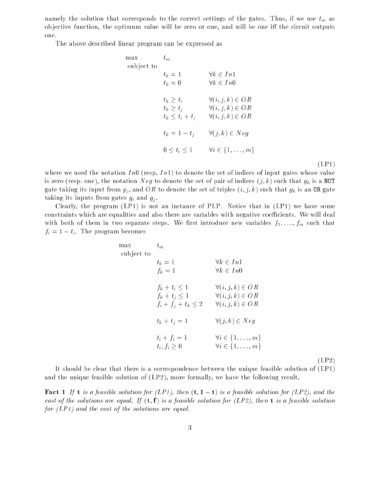namely the solution that corresponds to the correct settings of the gates. Thus, if we use  $t_m$  as objective function, the optimum value will be zero or one, and will be one iff the circuit outputs one.

The above described linear program can be expressed as

 $m$ 

| max<br>subject to | $t_m$                                                    |                                                                                        |  |
|-------------------|----------------------------------------------------------|----------------------------------------------------------------------------------------|--|
|                   | $t_k=1$<br>$t_k=0$                                       | $\forall k \in In1$<br>$\forall k \in In0$                                             |  |
|                   | $t_k \geq t_i$<br>$t_k \geq t_i$<br>$t_k \leq t_i + t_j$ | $\forall (i, j, k) \in OR$<br>$\forall (i, j, k) \in OR$<br>$\forall (i, j, k) \in OR$ |  |
|                   | $t_k = 1 - t_i$                                          | $\forall (j,k) \in Neg$                                                                |  |
|                   | $0 \le t_i \le 1$                                        | $\forall i \in \{1, \ldots, m\}$                                                       |  |
|                   |                                                          |                                                                                        |  |

(LP1)

where we used the notation  $In0$  (resp.  $In1$ ) to denote the set of indices of input gates whose value is zero (resp. one), the notation N eg to denote the set of pair of indices  $(j, k)$  such that  $g_k$  is a NOT gate taking its input from  $g_j$ , and OR to denote the set of triples  $(i, j, k)$  such that  $g_k$  is an OR gate taking its inputs from gates  $q_i$  and  $q_j$ .

Clearly, the program (LP1) is not an instance of PLP. Notice that in (LP1) we have some constraints which are equalities and also there are variables with negative coefficients. We will deal with both of them in two separate steps. We first introduce new variables  $f_1, \ldots, f_m$  such that  $f_i = 1 - t_i$ . The program becomes

| nax<br>subject to | $t_m$                                                                |                                                                                        |  |  |
|-------------------|----------------------------------------------------------------------|----------------------------------------------------------------------------------------|--|--|
|                   | $t_k=1$<br>$f_k=1$                                                   | $\forall k \in In1$<br>$\forall k \in In0$                                             |  |  |
|                   | $f_k + t_i \leq 1$<br>$f_k + t_i \leq 1$<br>$f_i + f_j + t_k \leq 2$ | $\forall (i, j, k) \in OR$<br>$\forall (i, j, k) \in OR$<br>$\forall (i, j, k) \in OR$ |  |  |
|                   | $t_k + t_j = 1$                                                      | $\forall (j,k) \in Neg$                                                                |  |  |
|                   | $t_i + f_i = 1$<br>$t_i, f_i \geq 0$                                 | $\forall i \in \{1, \ldots, m\}$<br>$\forall i \in \{1, \ldots, m\}$                   |  |  |
|                   |                                                                      |                                                                                        |  |  |

(LP2)

It should be clear that there is a correspondence between the unique feasible solution of (LP1) and the unique feasible solution of (LP2), more formally, we have the following result.

**Fact 1** If **t** is a feasible solution for (LP1), then  $(t, 1 - t)$  is a feasible solution for (LP2), and the cost of the solutions are equal. If  $(t, f)$  is a feasible solution for (LP2), then t is a feasible solution for  $(LPI)$  and the cost of the solutions are equal.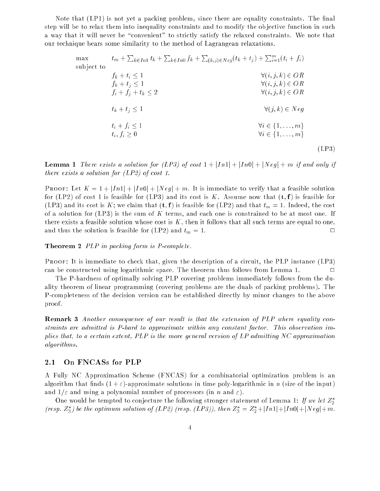Note that (LP1) is not yet a packing problem, since there are equality constraints. The final step will be to relax them into inequality constraints and to modify the objective function in such a way that it will never be "convenient" to strictly satisfy the relaxed constraints. We note that our technique bears some similarity to the method of Lagrangean relaxations.

| max        | $t_m + \sum_{k \in In} t_k + \sum_{k \in In} f_k + \sum_{(k,j) \in Neg}(t_k + t_j) + \sum_{i=1}^m (t_i + f_i)$ |                                  |       |
|------------|----------------------------------------------------------------------------------------------------------------|----------------------------------|-------|
| subject to | $f_k + t_i \leq 1$                                                                                             | $\forall (i, j, k) \in OR$       |       |
|            | $f_k + t_i \leq 1$                                                                                             | $\forall (i, j, k) \in OR$       |       |
|            | $f_i + f_j + t_k \leq 2$                                                                                       | $\forall (i, j, k) \in OR$       |       |
|            | $t_k + t_j \leq 1$                                                                                             | $\forall (j,k) \in Neg$          |       |
|            | $t_i + f_i \leq 1$                                                                                             | $\forall i \in \{1, \ldots, m\}$ |       |
|            | $t_i, f_i \geq 0$                                                                                              | $\forall i \in \{1, \ldots, m\}$ |       |
|            |                                                                                                                |                                  | (LP3) |

**Lemma 1** There exists a solution for (LP3) of cost  $1 + |In1| + |In0| + |Neg| + m$  if and only if there exists a solution for (LP2) of cost 1.

**PROOF:** Let  $K = 1 + |In1| + |In0| + |Neg| + m$ . It is immediate to verify that a feasible solution for (LP2) of cost 1 is feasible for (LP3) and its cost is K. Assume now that  $(t, f)$  is feasible for (LP3) and its cost is K; we claim that  $(\mathbf{t}, \mathbf{f})$  is feasible for (LP2) and that  $t_m = 1$ . Indeed, the cost of a solution for  $(LP3)$  is the sum of K terms, and each one is constrained to be at most one. If there exists a feasible solution whose cost is  $K$ , then it follows that all such terms are equal to one, and thus the solution is feasible for (LP2) and  $t_m = 1$ .

Theorem 2 *PLP* in packing form is *P*-complete.

PROOF: It is immediate to check that, given the description of a circuit, the PLP instance (LP3) can be constructed using logarithmic space. The theorem thus follows from Lemma 1.  $\Box$ 

The P-hardness of optimally solving PLP covering problems immediately follows from the duality theorem of linear programming (covering problems are the duals of packing problems). The P-completeness of the decision version can be established directly by minor changes to the above proof.

Remark <sup>3</sup> Another consequence of our result is that the extension of PLP where equality constraints are admitted is P-hard to approximate within any constant factor. This observation implies that, to a certain extent, PLP is the more general version of LP admitting NC approximation algorithms.

#### 2.1 On FNCASs for PLP

A Fully NC Approximation Scheme (FNCAS) for a combinatorial optimization problem is an algorithm that finds  $(1+\varepsilon)$ -approximate solutions in time poly-logarithmic in n (size of the input) and  $1/\varepsilon$  and using a polynomial number of processors (in n and  $\varepsilon$ ).

One would be tempted to conjecture the following stronger statement of Lemma 1: If we let  $Z_2^*$ (resp.  $Z_3$ ) be the optimum solution of (LP2) (resp. (LP3)), then  $Z_3 = Z_2 + |I\!\!I\!\!I| + |I\!\!I\!\!I| + |N\!\!I\!\!I| + |N\!\!I\!\!I|$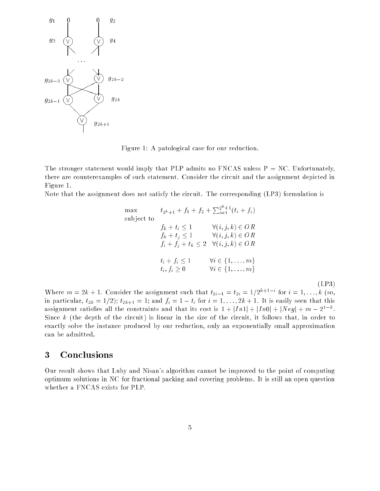

Figure 1: A patological case for our reduction.

The stronger statement would imply that PLP admits no FNCAS unless  $P = NC$ . Unfortunately, there are counterexamples of such statement. Consider the circuit and the assignment depicted in Figure 1.

Note that the assignment does not satisfy the circuit. The corresponding (LP3) formulation is

max  
\n
$$
t_{2^{k}+1} + f_1 + f_2 + \sum_{i=1}^{2^{k}+1} (t_i + f_i)
$$
\nsubject to  
\n
$$
f_k + t_i \le 1 \qquad \forall (i, j, k) \in OR
$$
\n
$$
f_k + t_j \le 1 \qquad \forall (i, j, k) \in OR
$$
\n
$$
f_i + f_j + t_k \le 2 \quad \forall (i, j, k) \in OR
$$
\n
$$
t_i + f_i \le 1 \qquad \forall i \in \{1, ..., m\}
$$
\n
$$
t_i, f_i \ge 0 \qquad \forall i \in \{1, ..., m\}
$$
\n[LP3)\n  
\nlet the assignment such that  $t_{2i-1} = t_{2i} = 1/2^{k+1-i}$  for  $i = 1, ..., k$  (so.

**Where**  $m = 2k + 1$ **.** Consider the assignment such that  $t_{2i-1} = t_{2i} = 1/2^{n+1}$  for  $i = 1, \ldots, k$  (so, in the 1st particular, the 1st particular, the 1st particular, the 1st particular, the 1st particular, the 1st particular, the 1st particular, the 1st particular, the 1st particular, the 1st particular, the 1st particular assignment satisfies an the constraints and that its cost is  $1 + |I\hbar1| + |I\hbar0| + |N\ell q| + m - 2^+$ . Since  $k$  (the depth of the circuit) is linear in the size of the circuit, it follows that, in order to exactly solve the instance produced by our reduction, only an exponentially small approximation can be admitted.

#### <sup>3</sup> Conclusions

Our result shows that Luby and Nisan's algorithm cannot be improved to the point of computing optimum solutions in NC for fractional packing and covering problems. It is still an open question whether a FNCAS exists for PLP.